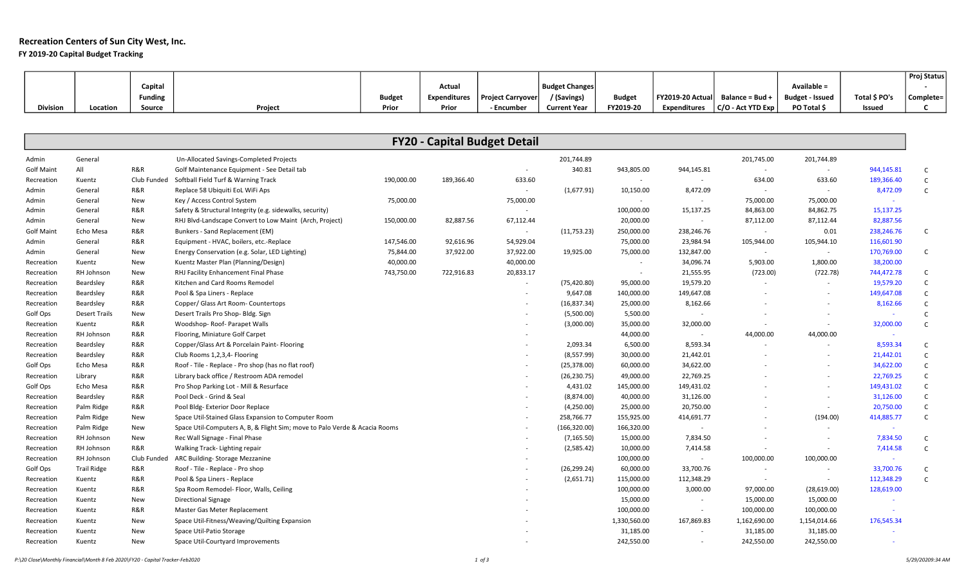# Recreation Centers of Sun City West, Inc.

# FY 2019-20 Capital Budget Tracking

|                   |                      |                |                                                                            |               |                     |                                     |                       |               |                          |                          |                          |               | Proj Status  |
|-------------------|----------------------|----------------|----------------------------------------------------------------------------|---------------|---------------------|-------------------------------------|-----------------------|---------------|--------------------------|--------------------------|--------------------------|---------------|--------------|
|                   |                      | Capital        |                                                                            |               | Actual              |                                     | <b>Budget Changes</b> |               |                          |                          | Available =              |               |              |
|                   |                      | <b>Funding</b> |                                                                            | <b>Budget</b> | <b>Expenditures</b> | <b>Project Carryover</b>            | / (Savings)           | <b>Budget</b> | FY2019-20 Actual         | Balance = Bud +          | <b>Budget - Issued</b>   | Total \$ PO's | Complete=    |
| <b>Division</b>   | Location             | Source         | Project                                                                    | Prior         | Prior               | - Encumber                          | <b>Current Year</b>   | FY2019-20     | <b>Expenditures</b>      | C/O - Act YTD Exp        | PO Total \$              | Issued        | C            |
|                   |                      |                |                                                                            |               |                     |                                     |                       |               |                          |                          |                          |               |              |
|                   |                      |                |                                                                            |               |                     |                                     |                       |               |                          |                          |                          |               |              |
|                   |                      |                |                                                                            |               |                     | <b>FY20 - Capital Budget Detail</b> |                       |               |                          |                          |                          |               |              |
| Admin             | General              |                | Un-Allocated Savings-Completed Projects                                    |               |                     |                                     | 201,744.89            |               |                          | 201,745.00               | 201,744.89               |               |              |
| <b>Golf Maint</b> | All                  | R&R            | Golf Maintenance Equipment - See Detail tab                                |               |                     | $\sim$                              | 340.81                | 943,805.00    | 944,145.81               | $\sim$                   | $\sim$                   | 944,145.81    | $\mathsf{C}$ |
| Recreation        | Kuentz               | Club Funded    | Softball Field Turf & Warning Track                                        | 190,000.00    | 189,366.40          | 633.60                              |                       |               | $\sim$                   | 634.00                   | 633.60                   | 189,366.40    | $\mathsf{C}$ |
| Admin             | General              | R&R            | Replace 58 Ubiquiti EoL WiFi Aps                                           |               |                     |                                     | (1,677.91)            | 10,150.00     | 8,472.09                 | $\overline{\phantom{a}}$ | $\sim$                   | 8,472.09      | $\mathsf{C}$ |
| Admin             | General              | New            | Key / Access Control System                                                | 75,000.00     |                     | 75,000.00                           |                       | $\sim$        | $\sim$                   | 75,000.00                | 75,000.00                | $\sim$        |              |
| Admin             | General              | R&R            | Safety & Structural Integrity (e.g. sidewalks, security)                   |               |                     | $\sim$                              |                       | 100,000.00    | 15,137.25                | 84,863.00                | 84,862.75                | 15,137.25     |              |
| Admin             | General              | New            | RHJ Blvd-Landscape Convert to Low Maint (Arch, Project)                    | 150,000.00    | 82,887.56           | 67,112.44                           |                       | 20,000.00     | $\sim$                   | 87,112.00                | 87,112.44                | 82,887.56     |              |
| <b>Golf Maint</b> | Echo Mesa            | R&R            | Bunkers - Sand Replacement (EM)                                            |               |                     | $\sim$                              | (11,753.23)           | 250,000.00    | 238,246.76               | $\sim$                   | 0.01                     | 238,246.76    | $\mathsf{C}$ |
| Admin             | General              | R&R            | Equipment - HVAC, boilers, etc.-Replace                                    | 147,546.00    | 92,616.96           | 54,929.04                           |                       | 75,000.00     | 23,984.94                | 105,944.00               | 105,944.10               | 116,601.90    |              |
| Admin             | General              | New            | Energy Conservation (e.g. Solar, LED Lighting)                             | 75,844.00     | 37,922.00           | 37,922.00                           | 19,925.00             | 75,000.00     | 132,847.00               | $\sim$                   | $\sim$                   | 170,769.00    | $\mathsf{C}$ |
| Recreation        | Kuentz               | New            | Kuentz Master Plan (Planning/Design)                                       | 40,000.00     |                     | 40,000.00                           |                       |               | 34,096.74                | 5,903.00                 | 1,800.00                 | 38,200.00     |              |
| Recreation        | RH Johnson           | New            | RHJ Facility Enhancement Final Phase                                       | 743,750.00    | 722,916.83          | 20,833.17                           |                       |               | 21,555.95                | (723.00)                 | (722.78)                 | 744,472.78    | $\mathsf{C}$ |
| Recreation        | Beardsley            | R&R            | Kitchen and Card Rooms Remodel                                             |               |                     | $\sim$                              | (75, 420.80)          | 95,000.00     | 19,579.20                | $\sim$                   | $\sim$                   | 19,579.20     | $\mathsf{C}$ |
| Recreation        | Beardsley            | R&R            | Pool & Spa Liners - Replace                                                |               |                     |                                     | 9,647.08              | 140,000.00    | 149,647.08               |                          |                          | 149,647.08    | $\mathsf{C}$ |
| Recreation        | Beardsley            | R&R            | Copper/ Glass Art Room- Countertops                                        |               |                     |                                     | (16, 837.34)          | 25,000.00     | 8,162.66                 |                          |                          | 8,162.66      | $\mathsf{C}$ |
| Golf Ops          | <b>Desert Trails</b> | New            | Desert Trails Pro Shop- Bldg. Sign                                         |               |                     |                                     | (5,500.00)            | 5,500.00      | $\sim$                   |                          | $\sim$                   | $\sim$        | $\mathsf{C}$ |
| Recreation        | Kuentz               | R&R            | Woodshop-Roof-Parapet Walls                                                |               |                     |                                     | (3,000.00)            | 35,000.00     | 32,000.00                |                          | $\sim$                   | 32,000.00     | $\mathsf C$  |
| Recreation        | RH Johnson           | R&R            | Flooring, Miniature Golf Carpet                                            |               |                     |                                     |                       | 44,000.00     | $\sim$                   | 44,000.00                | 44,000.00                |               |              |
| Recreation        | Beardsley            | R&R            | Copper/Glass Art & Porcelain Paint-Flooring                                |               |                     |                                     | 2,093.34              | 6,500.00      | 8,593.34                 |                          |                          | 8,593.34      | $\mathsf{C}$ |
| Recreation        | Beardsley            | R&R            | Club Rooms 1,2,3,4- Flooring                                               |               |                     |                                     | (8,557.99)            | 30,000.00     | 21,442.01                |                          |                          | 21,442.01     | $\mathsf{C}$ |
| Golf Ops          | Echo Mesa            | R&R            | Roof - Tile - Replace - Pro shop (has no flat roof)                        |               |                     |                                     | (25, 378.00)          | 60,000.00     | 34,622.00                |                          | $\sim$                   | 34,622.00     | $\mathsf{C}$ |
| Recreation        | Library              | R&R            | Library back office / Restroom ADA remodel                                 |               |                     |                                     | (26, 230.75)          | 49,000.00     | 22,769.25                |                          |                          | 22,769.25     | $\mathsf{C}$ |
| Golf Ops          | Echo Mesa            | R&R            | Pro Shop Parking Lot - Mill & Resurface                                    |               |                     |                                     | 4,431.02              | 145,000.00    | 149,431.02               |                          |                          | 149,431.02    | $\mathsf{C}$ |
| Recreation        | Beardsley            | R&R            | Pool Deck - Grind & Seal                                                   |               |                     |                                     | (8,874.00)            | 40,000.00     | 31,126.00                |                          | $\sim$                   | 31,126.00     | $\mathsf C$  |
| Recreation        | Palm Ridge           | R&R            | Pool Bldg-Exterior Door Replace                                            |               |                     |                                     | (4,250.00)            | 25,000.00     | 20,750.00                |                          | $\sim$                   | 20,750.00     | $\mathsf{C}$ |
| Recreation        | Palm Ridge           | New            | Space Util-Stained Glass Expansion to Computer Room                        |               |                     |                                     | 258,766.77            | 155,925.00    | 414,691.77               |                          | (194.00)                 | 414,885.77    | $\mathsf{C}$ |
| Recreation        | Palm Ridge           | New            | Space Util-Computers A, B, & Flight Sim; move to Palo Verde & Acacia Rooms |               |                     |                                     | (166, 320.00)         | 166,320.00    | $\sim$                   |                          | $\sim$                   | $\sim$        |              |
| Recreation        | RH Johnson           | New            | Rec Wall Signage - Final Phase                                             |               |                     |                                     | (7, 165.50)           | 15,000.00     | 7,834.50                 |                          | $\sim$                   | 7,834.50      | $\mathsf{C}$ |
| Recreation        | RH Johnson           | R&R            | Walking Track- Lighting repair                                             |               |                     |                                     | (2,585.42)            | 10,000.00     | 7,414.58                 |                          | $\sim$                   | 7,414.58      | $\mathsf{C}$ |
| Recreation        | RH Johnson           | Club Funded    | ARC Building- Storage Mezzanine                                            |               |                     |                                     |                       | 100,000.00    | $\sim$                   | 100,000.00               | 100,000.00               |               |              |
| Golf Ops          | <b>Trail Ridge</b>   | R&R            | Roof - Tile - Replace - Pro shop                                           |               |                     |                                     | (26, 299.24)          | 60,000.00     | 33,700.76                |                          | $\overline{\phantom{a}}$ | 33,700.76     | $\mathsf{C}$ |
| Recreation        | Kuentz               | R&R            | Pool & Spa Liners - Replace                                                |               |                     |                                     | (2,651.71)            | 115,000.00    | 112,348.29               | $\sim$                   | $\sim$                   | 112,348.29    | $\mathsf{C}$ |
| Recreation        | Kuentz               | R&R            | Spa Room Remodel- Floor, Walls, Ceiling                                    |               |                     |                                     |                       | 100,000.00    | 3,000.00                 | 97,000.00                | (28,619.00)              | 128,619.00    |              |
| Recreation        | Kuentz               | New            | <b>Directional Signage</b>                                                 |               |                     |                                     |                       | 15,000.00     | $\sim$                   | 15,000.00                | 15,000.00                | $\sim$        |              |
| Recreation        | Kuentz               | R&R            | Master Gas Meter Replacement                                               |               |                     |                                     |                       | 100,000.00    | $\overline{\phantom{a}}$ | 100,000.00               | 100,000.00               |               |              |
| Recreation        | Kuentz               | New            | Space Util-Fitness/Weaving/Quilting Expansion                              |               |                     |                                     |                       | 1,330,560.00  | 167,869.83               | 1,162,690.00             | 1,154,014.66             | 176,545.34    |              |
| Recreation        | Kuentz               | New            | Space Util-Patio Storage                                                   |               |                     |                                     |                       | 31,185.00     | $\sim$                   | 31,185.00                | 31,185.00                |               |              |
| Recreation        | Kuentz               | New            | Space Util-Courtyard Improvements                                          |               |                     |                                     |                       | 242,550.00    |                          | 242,550.00               | 242,550.00               |               |              |
|                   |                      |                |                                                                            |               |                     |                                     |                       |               |                          |                          |                          |               |              |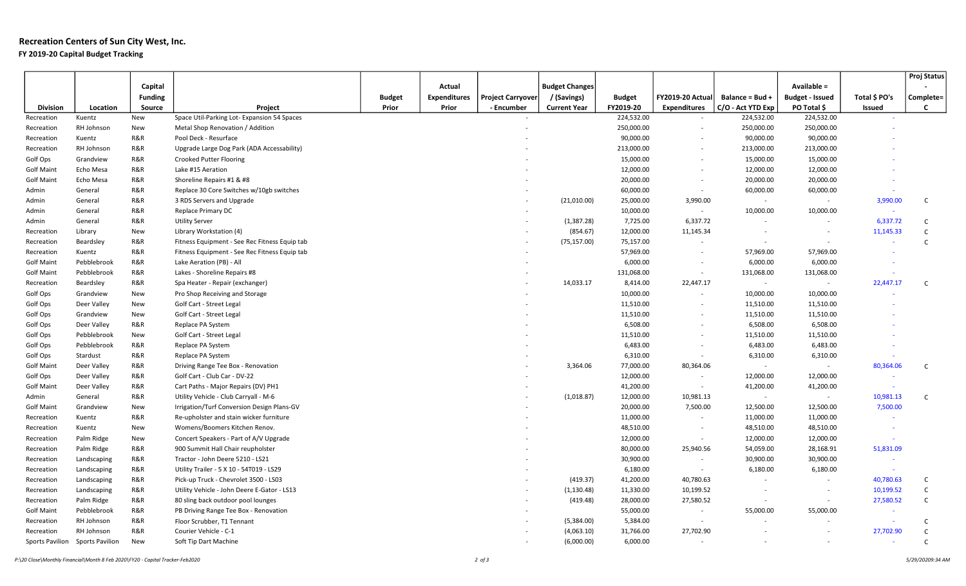# Recreation Centers of Sun City West, Inc.

# FY 2019-20 Capital Budget Tracking

| Capital<br><b>Budget Changes</b><br>Available =<br>Actual<br>/ (Savings)<br>Total \$ PO's<br><b>Funding</b><br><b>Budget</b><br><b>Expenditures</b><br><b>Project Carryover</b><br><b>Budget</b><br>FY2019-20 Actual<br>Balance = Bud +<br><b>Budget - Issued</b><br>Complete=<br>Prior<br>FY2019-20<br>C/O - Act YTD Exp<br>PO Total \$<br>C<br><b>Division</b><br>Location<br>Project<br>Prior<br>- Encumber<br><b>Current Year</b><br><b>Expenditures</b><br>Source<br>Issued<br>Space Util-Parking Lot- Expansion 54 Spaces<br>224,532.00<br>224,532.00<br>224,532.00<br>Recreation<br>Kuentz<br>New<br>$\sim$<br>250,000.00<br>250,000.00<br>RH Johnson<br>Metal Shop Renovation / Addition<br>250,000.00<br>Recreation<br>New<br>$\sim$<br>R&R<br>90,000.00<br>90,000.00<br>90,000.00<br>Recreation<br>Kuentz<br>Pool Deck - Resurface<br>$\sim$<br>R&R<br>213,000.00<br>213,000.00<br>213,000.00<br>RH Johnson<br>Upgrade Large Dog Park (ADA Accessability)<br>Recreation<br>$\sim$<br>R&R<br>15,000.00<br>15,000.00<br>Golf Ops<br>Grandview<br><b>Crooked Putter Flooring</b><br>15,000.00<br>$\sim$<br>R&R<br>12,000.00<br>12,000.00<br><b>Golf Maint</b><br>Lake #15 Aeration<br>12,000.00<br>Echo Mesa<br>$\sim$<br><b>Golf Maint</b><br>R&R<br>Shoreline Repairs #1 & #8<br>20,000.00<br>20,000.00<br>20,000.00<br>Echo Mesa<br>$\sim$<br>R&R<br>60,000.00<br>60,000.00<br>60,000.00<br>Admin<br>Replace 30 Core Switches w/10gb switches<br>General<br>$\sim$<br>25,000.00<br>Admin<br>R&R<br>3 RDS Servers and Upgrade<br>(21,010.00)<br>3,990.00<br>3,990.00<br>$\mathsf{C}$<br>General<br>$\sim$<br>$\sim$<br>R&R<br>10,000.00<br>Replace Primary DC<br>10,000.00<br>10,000.00<br>Admin<br>General<br>$\sim$<br>$\sim$<br>R&R<br><b>Utility Server</b><br>(1,387.28)<br>7,725.00<br>6,337.72<br>6,337.72<br>Admin<br>General<br>C.<br>$\sim$<br>$\overline{\phantom{a}}$<br>$\mathsf{C}$<br>(854.67)<br>12,000.00<br>11,145.34<br>11,145.33<br>Library<br>New<br>Library Workstation (4)<br>Recreation<br>$\sim$<br>$\sim$<br>R&R<br>$\mathsf{C}$<br>Recreation<br>Beardsley<br>Fitness Equipment - See Rec Fitness Equip tab<br>(75, 157.00)<br>75,157.00<br>$\sim$<br>$\sim$<br>$\sim$<br>R&R<br>57,969.00<br>57,969.00<br>57,969.00<br>Fitness Equipment - See Rec Fitness Equip tab<br>Recreation<br>Kuentz<br>$\overline{\phantom{a}}$<br><b>Golf Maint</b><br>Pebblebrook<br>R&R<br>Lake Aeration (PB) - All<br>6,000.00<br>6,000.00<br>6,000.00<br>$\sim$<br>R&R<br>131,068.00<br><b>Golf Maint</b><br>Pebblebrook<br>Lakes - Shoreline Repairs #8<br>131,068.00<br>131,068.00<br>$\blacksquare$<br>R&R<br>14,033.17<br>8,414.00<br>22,447.17<br>22,447.17<br>Recreation<br>Beardsley<br>Spa Heater - Repair (exchanger)<br>$\sim$<br>C.<br>$\sim$<br>10,000.00<br>Golf Ops<br>New<br>Pro Shop Receiving and Storage<br>10,000.00<br>10,000.00<br>Grandview<br>$\sim$<br>Golf Ops<br>Deer Valley<br>New<br>11,510.00<br>11,510.00<br>11,510.00<br>Golf Cart - Street Legal<br>$\sim$<br>Golf Ops<br>11,510.00<br>11,510.00<br>11,510.00<br>Grandview<br>New<br>Golf Cart - Street Legal<br>$\overline{\phantom{a}}$<br>Golf Ops<br>R&R<br>6,508.00<br>6,508.00<br>6,508.00<br>Deer Valley<br>Replace PA System<br>$\overline{\phantom{a}}$<br>Golf Ops<br>11,510.00<br>11,510.00<br>11,510.00<br>Pebblebrook<br>New<br>Golf Cart - Street Legal<br>$\sim$<br>6,483.00<br>6,483.00<br>Golf Ops<br>Pebblebrook<br>R&R<br>Replace PA System<br>6,483.00<br>$\sim$<br>R&R<br>Golf Ops<br>6,310.00<br>6,310.00<br>6,310.00<br>Stardust<br>Replace PA System<br>$\sim$<br><b>Golf Maint</b><br>R&R<br>3,364.06<br>77,000.00<br>80,364.06<br>80,364.06<br>Deer Valley<br>Driving Range Tee Box - Renovation<br>$\sim$<br>$\mathsf{C}$<br>$\sim$<br>R&R<br>Golf Cart - Club Car - DV-22<br>12,000.00<br>Golf Ops<br>Deer Valley<br>12,000.00<br>12,000.00<br>$\sim$<br><b>Golf Maint</b><br>R&R<br>41,200.00<br>41,200.00<br>Deer Valley<br>Cart Paths - Major Repairs (DV) PH1<br>41,200.00<br>$\sim$<br>$\sim$<br>R&R<br>(1,018.87)<br>12,000.00<br>Utility Vehicle - Club Carryall - M-6<br>10,981.13<br>10,981.13<br>$\mathsf{C}$<br>Admin<br>General<br>$\sim$<br>$\sim$<br><b>Golf Maint</b><br>Grandview<br>Irrigation/Turf Conversion Design Plans-GV<br>20,000.00<br>7,500.00<br>12,500.00<br>12,500.00<br>7,500.00<br>New<br>R&R<br>11,000.00<br>11,000.00<br>Recreation<br>Kuentz<br>Re-upholster and stain wicker furniture<br>11,000.00<br>$\sim$<br>48,510.00<br>New<br>Womens/Boomers Kitchen Renov.<br>48,510.00<br>48,510.00<br>Recreation<br>Kuentz<br>$\sim$<br>Palm Ridge<br>New<br>Concert Speakers - Part of A/V Upgrade<br>12,000.00<br>12,000.00<br>12,000.00<br>Recreation<br>$\overline{\phantom{a}}$<br>Palm Ridge<br>R&R<br>900 Summit Hall Chair reupholster<br>80,000.00<br>25,940.56<br>54,059.00<br>28,168.91<br>51,831.09<br>Recreation<br>R&R<br>30,900.00<br>30,900.00<br>30,900.00<br>Tractor - John Deere 5210 - LS21<br>Recreation<br>Landscaping<br>$\sim$<br>$\sim$<br>R&R<br>6,180.00<br>6,180.00<br>6,180.00<br>Recreation<br>Landscaping<br>Utility Trailer - 5 X 10 - 54T019 - LS29<br>$\sim$<br>$\sim$<br>R&R<br>(419.37)<br>41,200.00<br>40,780.63<br>Pick-up Truck - Chevrolet 3500 - LS03<br>40,780.63<br>Recreation<br>Landscaping<br>$\sim$<br>C<br>$\sim$<br>R&R<br>(1, 130.48)<br>10,199.52<br>$\mathsf{C}$<br>Utility Vehicle - John Deere E-Gator - LS13<br>11,330.00<br>10,199.52<br>Recreation<br>Landscaping<br>$\overline{\phantom{a}}$<br>$\mathsf{C}$<br>R&R<br>(419.48)<br>28,000.00<br>27,580.52<br>Recreation<br>Palm Ridge<br>80 sling back outdoor pool lounges<br>27,580.52<br>$\overline{\phantom{a}}$<br>$\sim$<br>R&R<br>55,000.00<br>55,000.00<br>55,000.00<br><b>Golf Maint</b><br>Pebblebrook<br>PB Driving Range Tee Box - Renovation<br>$\sim$<br>a.<br>R&R<br>RH Johnson<br>(5,384.00)<br>5,384.00<br>$\mathsf{C}$<br>Recreation<br>Floor Scrubber, T1 Tennant<br>$\sim$<br>×,<br>R&R<br>31,766.00<br>27,702.90<br>27,702.90<br>Recreation<br>RH Johnson<br>Courier Vehicle - C-1<br>(4,063.10)<br>$\mathsf{C}$<br>$\sim$ |                 |                        |     |                       |  |            |          |  |  | Proj Status  |
|-----------------------------------------------------------------------------------------------------------------------------------------------------------------------------------------------------------------------------------------------------------------------------------------------------------------------------------------------------------------------------------------------------------------------------------------------------------------------------------------------------------------------------------------------------------------------------------------------------------------------------------------------------------------------------------------------------------------------------------------------------------------------------------------------------------------------------------------------------------------------------------------------------------------------------------------------------------------------------------------------------------------------------------------------------------------------------------------------------------------------------------------------------------------------------------------------------------------------------------------------------------------------------------------------------------------------------------------------------------------------------------------------------------------------------------------------------------------------------------------------------------------------------------------------------------------------------------------------------------------------------------------------------------------------------------------------------------------------------------------------------------------------------------------------------------------------------------------------------------------------------------------------------------------------------------------------------------------------------------------------------------------------------------------------------------------------------------------------------------------------------------------------------------------------------------------------------------------------------------------------------------------------------------------------------------------------------------------------------------------------------------------------------------------------------------------------------------------------------------------------------------------------------------------------------------------------------------------------------------------------------------------------------------------------------------------------------------------------------------------------------------------------------------------------------------------------------------------------------------------------------------------------------------------------------------------------------------------------------------------------------------------------------------------------------------------------------------------------------------------------------------------------------------------------------------------------------------------------------------------------------------------------------------------------------------------------------------------------------------------------------------------------------------------------------------------------------------------------------------------------------------------------------------------------------------------------------------------------------------------------------------------------------------------------------------------------------------------------------------------------------------------------------------------------------------------------------------------------------------------------------------------------------------------------------------------------------------------------------------------------------------------------------------------------------------------------------------------------------------------------------------------------------------------------------------------------------------------------------------------------------------------------------------------------------------------------------------------------------------------------------------------------------------------------------------------------------------------------------------------------------------------------------------------------------------------------------------------------------------------------------------------------------------------------------------------------------------------------------------------------------------------------------------------------------------------------------------------------------------------------------------------------------------------------------------------------------------------------------------------------------------------------------------------------------------------------------------------------------------------------------------------------------------------------------------------------------------------------------------------------------------------------------------------------------------------------------------------------------------------------------------------------------------------------------------------------------------------------------------------------------------------------------------------------------------------------------------------------------------------------------------------------------------------------------------------------------------------------------------------------------------------------------------------------------------------------------------------------------------------------------------------------------------------------------------------------------------------------------------------------------------------------------------------------------------------------------------------------------------------------|-----------------|------------------------|-----|-----------------------|--|------------|----------|--|--|--------------|
|                                                                                                                                                                                                                                                                                                                                                                                                                                                                                                                                                                                                                                                                                                                                                                                                                                                                                                                                                                                                                                                                                                                                                                                                                                                                                                                                                                                                                                                                                                                                                                                                                                                                                                                                                                                                                                                                                                                                                                                                                                                                                                                                                                                                                                                                                                                                                                                                                                                                                                                                                                                                                                                                                                                                                                                                                                                                                                                                                                                                                                                                                                                                                                                                                                                                                                                                                                                                                                                                                                                                                                                                                                                                                                                                                                                                                                                                                                                                                                                                                                                                                                                                                                                                                                                                                                                                                                                                                                                                                                                                                                                                                                                                                                                                                                                                                                                                                                                                                                                                                                                                                                                                                                                                                                                                                                                                                                                                                                                                                                                                                                                                                                                                                                                                                                                                                                                                                                                                                                                                                                                                                                                       |                 |                        |     |                       |  |            |          |  |  |              |
|                                                                                                                                                                                                                                                                                                                                                                                                                                                                                                                                                                                                                                                                                                                                                                                                                                                                                                                                                                                                                                                                                                                                                                                                                                                                                                                                                                                                                                                                                                                                                                                                                                                                                                                                                                                                                                                                                                                                                                                                                                                                                                                                                                                                                                                                                                                                                                                                                                                                                                                                                                                                                                                                                                                                                                                                                                                                                                                                                                                                                                                                                                                                                                                                                                                                                                                                                                                                                                                                                                                                                                                                                                                                                                                                                                                                                                                                                                                                                                                                                                                                                                                                                                                                                                                                                                                                                                                                                                                                                                                                                                                                                                                                                                                                                                                                                                                                                                                                                                                                                                                                                                                                                                                                                                                                                                                                                                                                                                                                                                                                                                                                                                                                                                                                                                                                                                                                                                                                                                                                                                                                                                                       |                 |                        |     |                       |  |            |          |  |  |              |
|                                                                                                                                                                                                                                                                                                                                                                                                                                                                                                                                                                                                                                                                                                                                                                                                                                                                                                                                                                                                                                                                                                                                                                                                                                                                                                                                                                                                                                                                                                                                                                                                                                                                                                                                                                                                                                                                                                                                                                                                                                                                                                                                                                                                                                                                                                                                                                                                                                                                                                                                                                                                                                                                                                                                                                                                                                                                                                                                                                                                                                                                                                                                                                                                                                                                                                                                                                                                                                                                                                                                                                                                                                                                                                                                                                                                                                                                                                                                                                                                                                                                                                                                                                                                                                                                                                                                                                                                                                                                                                                                                                                                                                                                                                                                                                                                                                                                                                                                                                                                                                                                                                                                                                                                                                                                                                                                                                                                                                                                                                                                                                                                                                                                                                                                                                                                                                                                                                                                                                                                                                                                                                                       |                 |                        |     |                       |  |            |          |  |  |              |
|                                                                                                                                                                                                                                                                                                                                                                                                                                                                                                                                                                                                                                                                                                                                                                                                                                                                                                                                                                                                                                                                                                                                                                                                                                                                                                                                                                                                                                                                                                                                                                                                                                                                                                                                                                                                                                                                                                                                                                                                                                                                                                                                                                                                                                                                                                                                                                                                                                                                                                                                                                                                                                                                                                                                                                                                                                                                                                                                                                                                                                                                                                                                                                                                                                                                                                                                                                                                                                                                                                                                                                                                                                                                                                                                                                                                                                                                                                                                                                                                                                                                                                                                                                                                                                                                                                                                                                                                                                                                                                                                                                                                                                                                                                                                                                                                                                                                                                                                                                                                                                                                                                                                                                                                                                                                                                                                                                                                                                                                                                                                                                                                                                                                                                                                                                                                                                                                                                                                                                                                                                                                                                                       |                 |                        |     |                       |  |            |          |  |  |              |
|                                                                                                                                                                                                                                                                                                                                                                                                                                                                                                                                                                                                                                                                                                                                                                                                                                                                                                                                                                                                                                                                                                                                                                                                                                                                                                                                                                                                                                                                                                                                                                                                                                                                                                                                                                                                                                                                                                                                                                                                                                                                                                                                                                                                                                                                                                                                                                                                                                                                                                                                                                                                                                                                                                                                                                                                                                                                                                                                                                                                                                                                                                                                                                                                                                                                                                                                                                                                                                                                                                                                                                                                                                                                                                                                                                                                                                                                                                                                                                                                                                                                                                                                                                                                                                                                                                                                                                                                                                                                                                                                                                                                                                                                                                                                                                                                                                                                                                                                                                                                                                                                                                                                                                                                                                                                                                                                                                                                                                                                                                                                                                                                                                                                                                                                                                                                                                                                                                                                                                                                                                                                                                                       |                 |                        |     |                       |  |            |          |  |  |              |
|                                                                                                                                                                                                                                                                                                                                                                                                                                                                                                                                                                                                                                                                                                                                                                                                                                                                                                                                                                                                                                                                                                                                                                                                                                                                                                                                                                                                                                                                                                                                                                                                                                                                                                                                                                                                                                                                                                                                                                                                                                                                                                                                                                                                                                                                                                                                                                                                                                                                                                                                                                                                                                                                                                                                                                                                                                                                                                                                                                                                                                                                                                                                                                                                                                                                                                                                                                                                                                                                                                                                                                                                                                                                                                                                                                                                                                                                                                                                                                                                                                                                                                                                                                                                                                                                                                                                                                                                                                                                                                                                                                                                                                                                                                                                                                                                                                                                                                                                                                                                                                                                                                                                                                                                                                                                                                                                                                                                                                                                                                                                                                                                                                                                                                                                                                                                                                                                                                                                                                                                                                                                                                                       |                 |                        |     |                       |  |            |          |  |  |              |
|                                                                                                                                                                                                                                                                                                                                                                                                                                                                                                                                                                                                                                                                                                                                                                                                                                                                                                                                                                                                                                                                                                                                                                                                                                                                                                                                                                                                                                                                                                                                                                                                                                                                                                                                                                                                                                                                                                                                                                                                                                                                                                                                                                                                                                                                                                                                                                                                                                                                                                                                                                                                                                                                                                                                                                                                                                                                                                                                                                                                                                                                                                                                                                                                                                                                                                                                                                                                                                                                                                                                                                                                                                                                                                                                                                                                                                                                                                                                                                                                                                                                                                                                                                                                                                                                                                                                                                                                                                                                                                                                                                                                                                                                                                                                                                                                                                                                                                                                                                                                                                                                                                                                                                                                                                                                                                                                                                                                                                                                                                                                                                                                                                                                                                                                                                                                                                                                                                                                                                                                                                                                                                                       |                 |                        |     |                       |  |            |          |  |  |              |
|                                                                                                                                                                                                                                                                                                                                                                                                                                                                                                                                                                                                                                                                                                                                                                                                                                                                                                                                                                                                                                                                                                                                                                                                                                                                                                                                                                                                                                                                                                                                                                                                                                                                                                                                                                                                                                                                                                                                                                                                                                                                                                                                                                                                                                                                                                                                                                                                                                                                                                                                                                                                                                                                                                                                                                                                                                                                                                                                                                                                                                                                                                                                                                                                                                                                                                                                                                                                                                                                                                                                                                                                                                                                                                                                                                                                                                                                                                                                                                                                                                                                                                                                                                                                                                                                                                                                                                                                                                                                                                                                                                                                                                                                                                                                                                                                                                                                                                                                                                                                                                                                                                                                                                                                                                                                                                                                                                                                                                                                                                                                                                                                                                                                                                                                                                                                                                                                                                                                                                                                                                                                                                                       |                 |                        |     |                       |  |            |          |  |  |              |
|                                                                                                                                                                                                                                                                                                                                                                                                                                                                                                                                                                                                                                                                                                                                                                                                                                                                                                                                                                                                                                                                                                                                                                                                                                                                                                                                                                                                                                                                                                                                                                                                                                                                                                                                                                                                                                                                                                                                                                                                                                                                                                                                                                                                                                                                                                                                                                                                                                                                                                                                                                                                                                                                                                                                                                                                                                                                                                                                                                                                                                                                                                                                                                                                                                                                                                                                                                                                                                                                                                                                                                                                                                                                                                                                                                                                                                                                                                                                                                                                                                                                                                                                                                                                                                                                                                                                                                                                                                                                                                                                                                                                                                                                                                                                                                                                                                                                                                                                                                                                                                                                                                                                                                                                                                                                                                                                                                                                                                                                                                                                                                                                                                                                                                                                                                                                                                                                                                                                                                                                                                                                                                                       |                 |                        |     |                       |  |            |          |  |  |              |
|                                                                                                                                                                                                                                                                                                                                                                                                                                                                                                                                                                                                                                                                                                                                                                                                                                                                                                                                                                                                                                                                                                                                                                                                                                                                                                                                                                                                                                                                                                                                                                                                                                                                                                                                                                                                                                                                                                                                                                                                                                                                                                                                                                                                                                                                                                                                                                                                                                                                                                                                                                                                                                                                                                                                                                                                                                                                                                                                                                                                                                                                                                                                                                                                                                                                                                                                                                                                                                                                                                                                                                                                                                                                                                                                                                                                                                                                                                                                                                                                                                                                                                                                                                                                                                                                                                                                                                                                                                                                                                                                                                                                                                                                                                                                                                                                                                                                                                                                                                                                                                                                                                                                                                                                                                                                                                                                                                                                                                                                                                                                                                                                                                                                                                                                                                                                                                                                                                                                                                                                                                                                                                                       |                 |                        |     |                       |  |            |          |  |  |              |
|                                                                                                                                                                                                                                                                                                                                                                                                                                                                                                                                                                                                                                                                                                                                                                                                                                                                                                                                                                                                                                                                                                                                                                                                                                                                                                                                                                                                                                                                                                                                                                                                                                                                                                                                                                                                                                                                                                                                                                                                                                                                                                                                                                                                                                                                                                                                                                                                                                                                                                                                                                                                                                                                                                                                                                                                                                                                                                                                                                                                                                                                                                                                                                                                                                                                                                                                                                                                                                                                                                                                                                                                                                                                                                                                                                                                                                                                                                                                                                                                                                                                                                                                                                                                                                                                                                                                                                                                                                                                                                                                                                                                                                                                                                                                                                                                                                                                                                                                                                                                                                                                                                                                                                                                                                                                                                                                                                                                                                                                                                                                                                                                                                                                                                                                                                                                                                                                                                                                                                                                                                                                                                                       |                 |                        |     |                       |  |            |          |  |  |              |
|                                                                                                                                                                                                                                                                                                                                                                                                                                                                                                                                                                                                                                                                                                                                                                                                                                                                                                                                                                                                                                                                                                                                                                                                                                                                                                                                                                                                                                                                                                                                                                                                                                                                                                                                                                                                                                                                                                                                                                                                                                                                                                                                                                                                                                                                                                                                                                                                                                                                                                                                                                                                                                                                                                                                                                                                                                                                                                                                                                                                                                                                                                                                                                                                                                                                                                                                                                                                                                                                                                                                                                                                                                                                                                                                                                                                                                                                                                                                                                                                                                                                                                                                                                                                                                                                                                                                                                                                                                                                                                                                                                                                                                                                                                                                                                                                                                                                                                                                                                                                                                                                                                                                                                                                                                                                                                                                                                                                                                                                                                                                                                                                                                                                                                                                                                                                                                                                                                                                                                                                                                                                                                                       |                 |                        |     |                       |  |            |          |  |  |              |
|                                                                                                                                                                                                                                                                                                                                                                                                                                                                                                                                                                                                                                                                                                                                                                                                                                                                                                                                                                                                                                                                                                                                                                                                                                                                                                                                                                                                                                                                                                                                                                                                                                                                                                                                                                                                                                                                                                                                                                                                                                                                                                                                                                                                                                                                                                                                                                                                                                                                                                                                                                                                                                                                                                                                                                                                                                                                                                                                                                                                                                                                                                                                                                                                                                                                                                                                                                                                                                                                                                                                                                                                                                                                                                                                                                                                                                                                                                                                                                                                                                                                                                                                                                                                                                                                                                                                                                                                                                                                                                                                                                                                                                                                                                                                                                                                                                                                                                                                                                                                                                                                                                                                                                                                                                                                                                                                                                                                                                                                                                                                                                                                                                                                                                                                                                                                                                                                                                                                                                                                                                                                                                                       |                 |                        |     |                       |  |            |          |  |  |              |
|                                                                                                                                                                                                                                                                                                                                                                                                                                                                                                                                                                                                                                                                                                                                                                                                                                                                                                                                                                                                                                                                                                                                                                                                                                                                                                                                                                                                                                                                                                                                                                                                                                                                                                                                                                                                                                                                                                                                                                                                                                                                                                                                                                                                                                                                                                                                                                                                                                                                                                                                                                                                                                                                                                                                                                                                                                                                                                                                                                                                                                                                                                                                                                                                                                                                                                                                                                                                                                                                                                                                                                                                                                                                                                                                                                                                                                                                                                                                                                                                                                                                                                                                                                                                                                                                                                                                                                                                                                                                                                                                                                                                                                                                                                                                                                                                                                                                                                                                                                                                                                                                                                                                                                                                                                                                                                                                                                                                                                                                                                                                                                                                                                                                                                                                                                                                                                                                                                                                                                                                                                                                                                                       |                 |                        |     |                       |  |            |          |  |  |              |
|                                                                                                                                                                                                                                                                                                                                                                                                                                                                                                                                                                                                                                                                                                                                                                                                                                                                                                                                                                                                                                                                                                                                                                                                                                                                                                                                                                                                                                                                                                                                                                                                                                                                                                                                                                                                                                                                                                                                                                                                                                                                                                                                                                                                                                                                                                                                                                                                                                                                                                                                                                                                                                                                                                                                                                                                                                                                                                                                                                                                                                                                                                                                                                                                                                                                                                                                                                                                                                                                                                                                                                                                                                                                                                                                                                                                                                                                                                                                                                                                                                                                                                                                                                                                                                                                                                                                                                                                                                                                                                                                                                                                                                                                                                                                                                                                                                                                                                                                                                                                                                                                                                                                                                                                                                                                                                                                                                                                                                                                                                                                                                                                                                                                                                                                                                                                                                                                                                                                                                                                                                                                                                                       |                 |                        |     |                       |  |            |          |  |  |              |
|                                                                                                                                                                                                                                                                                                                                                                                                                                                                                                                                                                                                                                                                                                                                                                                                                                                                                                                                                                                                                                                                                                                                                                                                                                                                                                                                                                                                                                                                                                                                                                                                                                                                                                                                                                                                                                                                                                                                                                                                                                                                                                                                                                                                                                                                                                                                                                                                                                                                                                                                                                                                                                                                                                                                                                                                                                                                                                                                                                                                                                                                                                                                                                                                                                                                                                                                                                                                                                                                                                                                                                                                                                                                                                                                                                                                                                                                                                                                                                                                                                                                                                                                                                                                                                                                                                                                                                                                                                                                                                                                                                                                                                                                                                                                                                                                                                                                                                                                                                                                                                                                                                                                                                                                                                                                                                                                                                                                                                                                                                                                                                                                                                                                                                                                                                                                                                                                                                                                                                                                                                                                                                                       |                 |                        |     |                       |  |            |          |  |  |              |
|                                                                                                                                                                                                                                                                                                                                                                                                                                                                                                                                                                                                                                                                                                                                                                                                                                                                                                                                                                                                                                                                                                                                                                                                                                                                                                                                                                                                                                                                                                                                                                                                                                                                                                                                                                                                                                                                                                                                                                                                                                                                                                                                                                                                                                                                                                                                                                                                                                                                                                                                                                                                                                                                                                                                                                                                                                                                                                                                                                                                                                                                                                                                                                                                                                                                                                                                                                                                                                                                                                                                                                                                                                                                                                                                                                                                                                                                                                                                                                                                                                                                                                                                                                                                                                                                                                                                                                                                                                                                                                                                                                                                                                                                                                                                                                                                                                                                                                                                                                                                                                                                                                                                                                                                                                                                                                                                                                                                                                                                                                                                                                                                                                                                                                                                                                                                                                                                                                                                                                                                                                                                                                                       |                 |                        |     |                       |  |            |          |  |  |              |
|                                                                                                                                                                                                                                                                                                                                                                                                                                                                                                                                                                                                                                                                                                                                                                                                                                                                                                                                                                                                                                                                                                                                                                                                                                                                                                                                                                                                                                                                                                                                                                                                                                                                                                                                                                                                                                                                                                                                                                                                                                                                                                                                                                                                                                                                                                                                                                                                                                                                                                                                                                                                                                                                                                                                                                                                                                                                                                                                                                                                                                                                                                                                                                                                                                                                                                                                                                                                                                                                                                                                                                                                                                                                                                                                                                                                                                                                                                                                                                                                                                                                                                                                                                                                                                                                                                                                                                                                                                                                                                                                                                                                                                                                                                                                                                                                                                                                                                                                                                                                                                                                                                                                                                                                                                                                                                                                                                                                                                                                                                                                                                                                                                                                                                                                                                                                                                                                                                                                                                                                                                                                                                                       |                 |                        |     |                       |  |            |          |  |  |              |
|                                                                                                                                                                                                                                                                                                                                                                                                                                                                                                                                                                                                                                                                                                                                                                                                                                                                                                                                                                                                                                                                                                                                                                                                                                                                                                                                                                                                                                                                                                                                                                                                                                                                                                                                                                                                                                                                                                                                                                                                                                                                                                                                                                                                                                                                                                                                                                                                                                                                                                                                                                                                                                                                                                                                                                                                                                                                                                                                                                                                                                                                                                                                                                                                                                                                                                                                                                                                                                                                                                                                                                                                                                                                                                                                                                                                                                                                                                                                                                                                                                                                                                                                                                                                                                                                                                                                                                                                                                                                                                                                                                                                                                                                                                                                                                                                                                                                                                                                                                                                                                                                                                                                                                                                                                                                                                                                                                                                                                                                                                                                                                                                                                                                                                                                                                                                                                                                                                                                                                                                                                                                                                                       |                 |                        |     |                       |  |            |          |  |  |              |
|                                                                                                                                                                                                                                                                                                                                                                                                                                                                                                                                                                                                                                                                                                                                                                                                                                                                                                                                                                                                                                                                                                                                                                                                                                                                                                                                                                                                                                                                                                                                                                                                                                                                                                                                                                                                                                                                                                                                                                                                                                                                                                                                                                                                                                                                                                                                                                                                                                                                                                                                                                                                                                                                                                                                                                                                                                                                                                                                                                                                                                                                                                                                                                                                                                                                                                                                                                                                                                                                                                                                                                                                                                                                                                                                                                                                                                                                                                                                                                                                                                                                                                                                                                                                                                                                                                                                                                                                                                                                                                                                                                                                                                                                                                                                                                                                                                                                                                                                                                                                                                                                                                                                                                                                                                                                                                                                                                                                                                                                                                                                                                                                                                                                                                                                                                                                                                                                                                                                                                                                                                                                                                                       |                 |                        |     |                       |  |            |          |  |  |              |
|                                                                                                                                                                                                                                                                                                                                                                                                                                                                                                                                                                                                                                                                                                                                                                                                                                                                                                                                                                                                                                                                                                                                                                                                                                                                                                                                                                                                                                                                                                                                                                                                                                                                                                                                                                                                                                                                                                                                                                                                                                                                                                                                                                                                                                                                                                                                                                                                                                                                                                                                                                                                                                                                                                                                                                                                                                                                                                                                                                                                                                                                                                                                                                                                                                                                                                                                                                                                                                                                                                                                                                                                                                                                                                                                                                                                                                                                                                                                                                                                                                                                                                                                                                                                                                                                                                                                                                                                                                                                                                                                                                                                                                                                                                                                                                                                                                                                                                                                                                                                                                                                                                                                                                                                                                                                                                                                                                                                                                                                                                                                                                                                                                                                                                                                                                                                                                                                                                                                                                                                                                                                                                                       |                 |                        |     |                       |  |            |          |  |  |              |
|                                                                                                                                                                                                                                                                                                                                                                                                                                                                                                                                                                                                                                                                                                                                                                                                                                                                                                                                                                                                                                                                                                                                                                                                                                                                                                                                                                                                                                                                                                                                                                                                                                                                                                                                                                                                                                                                                                                                                                                                                                                                                                                                                                                                                                                                                                                                                                                                                                                                                                                                                                                                                                                                                                                                                                                                                                                                                                                                                                                                                                                                                                                                                                                                                                                                                                                                                                                                                                                                                                                                                                                                                                                                                                                                                                                                                                                                                                                                                                                                                                                                                                                                                                                                                                                                                                                                                                                                                                                                                                                                                                                                                                                                                                                                                                                                                                                                                                                                                                                                                                                                                                                                                                                                                                                                                                                                                                                                                                                                                                                                                                                                                                                                                                                                                                                                                                                                                                                                                                                                                                                                                                                       |                 |                        |     |                       |  |            |          |  |  |              |
|                                                                                                                                                                                                                                                                                                                                                                                                                                                                                                                                                                                                                                                                                                                                                                                                                                                                                                                                                                                                                                                                                                                                                                                                                                                                                                                                                                                                                                                                                                                                                                                                                                                                                                                                                                                                                                                                                                                                                                                                                                                                                                                                                                                                                                                                                                                                                                                                                                                                                                                                                                                                                                                                                                                                                                                                                                                                                                                                                                                                                                                                                                                                                                                                                                                                                                                                                                                                                                                                                                                                                                                                                                                                                                                                                                                                                                                                                                                                                                                                                                                                                                                                                                                                                                                                                                                                                                                                                                                                                                                                                                                                                                                                                                                                                                                                                                                                                                                                                                                                                                                                                                                                                                                                                                                                                                                                                                                                                                                                                                                                                                                                                                                                                                                                                                                                                                                                                                                                                                                                                                                                                                                       |                 |                        |     |                       |  |            |          |  |  |              |
|                                                                                                                                                                                                                                                                                                                                                                                                                                                                                                                                                                                                                                                                                                                                                                                                                                                                                                                                                                                                                                                                                                                                                                                                                                                                                                                                                                                                                                                                                                                                                                                                                                                                                                                                                                                                                                                                                                                                                                                                                                                                                                                                                                                                                                                                                                                                                                                                                                                                                                                                                                                                                                                                                                                                                                                                                                                                                                                                                                                                                                                                                                                                                                                                                                                                                                                                                                                                                                                                                                                                                                                                                                                                                                                                                                                                                                                                                                                                                                                                                                                                                                                                                                                                                                                                                                                                                                                                                                                                                                                                                                                                                                                                                                                                                                                                                                                                                                                                                                                                                                                                                                                                                                                                                                                                                                                                                                                                                                                                                                                                                                                                                                                                                                                                                                                                                                                                                                                                                                                                                                                                                                                       |                 |                        |     |                       |  |            |          |  |  |              |
|                                                                                                                                                                                                                                                                                                                                                                                                                                                                                                                                                                                                                                                                                                                                                                                                                                                                                                                                                                                                                                                                                                                                                                                                                                                                                                                                                                                                                                                                                                                                                                                                                                                                                                                                                                                                                                                                                                                                                                                                                                                                                                                                                                                                                                                                                                                                                                                                                                                                                                                                                                                                                                                                                                                                                                                                                                                                                                                                                                                                                                                                                                                                                                                                                                                                                                                                                                                                                                                                                                                                                                                                                                                                                                                                                                                                                                                                                                                                                                                                                                                                                                                                                                                                                                                                                                                                                                                                                                                                                                                                                                                                                                                                                                                                                                                                                                                                                                                                                                                                                                                                                                                                                                                                                                                                                                                                                                                                                                                                                                                                                                                                                                                                                                                                                                                                                                                                                                                                                                                                                                                                                                                       |                 |                        |     |                       |  |            |          |  |  |              |
|                                                                                                                                                                                                                                                                                                                                                                                                                                                                                                                                                                                                                                                                                                                                                                                                                                                                                                                                                                                                                                                                                                                                                                                                                                                                                                                                                                                                                                                                                                                                                                                                                                                                                                                                                                                                                                                                                                                                                                                                                                                                                                                                                                                                                                                                                                                                                                                                                                                                                                                                                                                                                                                                                                                                                                                                                                                                                                                                                                                                                                                                                                                                                                                                                                                                                                                                                                                                                                                                                                                                                                                                                                                                                                                                                                                                                                                                                                                                                                                                                                                                                                                                                                                                                                                                                                                                                                                                                                                                                                                                                                                                                                                                                                                                                                                                                                                                                                                                                                                                                                                                                                                                                                                                                                                                                                                                                                                                                                                                                                                                                                                                                                                                                                                                                                                                                                                                                                                                                                                                                                                                                                                       |                 |                        |     |                       |  |            |          |  |  |              |
|                                                                                                                                                                                                                                                                                                                                                                                                                                                                                                                                                                                                                                                                                                                                                                                                                                                                                                                                                                                                                                                                                                                                                                                                                                                                                                                                                                                                                                                                                                                                                                                                                                                                                                                                                                                                                                                                                                                                                                                                                                                                                                                                                                                                                                                                                                                                                                                                                                                                                                                                                                                                                                                                                                                                                                                                                                                                                                                                                                                                                                                                                                                                                                                                                                                                                                                                                                                                                                                                                                                                                                                                                                                                                                                                                                                                                                                                                                                                                                                                                                                                                                                                                                                                                                                                                                                                                                                                                                                                                                                                                                                                                                                                                                                                                                                                                                                                                                                                                                                                                                                                                                                                                                                                                                                                                                                                                                                                                                                                                                                                                                                                                                                                                                                                                                                                                                                                                                                                                                                                                                                                                                                       |                 |                        |     |                       |  |            |          |  |  |              |
|                                                                                                                                                                                                                                                                                                                                                                                                                                                                                                                                                                                                                                                                                                                                                                                                                                                                                                                                                                                                                                                                                                                                                                                                                                                                                                                                                                                                                                                                                                                                                                                                                                                                                                                                                                                                                                                                                                                                                                                                                                                                                                                                                                                                                                                                                                                                                                                                                                                                                                                                                                                                                                                                                                                                                                                                                                                                                                                                                                                                                                                                                                                                                                                                                                                                                                                                                                                                                                                                                                                                                                                                                                                                                                                                                                                                                                                                                                                                                                                                                                                                                                                                                                                                                                                                                                                                                                                                                                                                                                                                                                                                                                                                                                                                                                                                                                                                                                                                                                                                                                                                                                                                                                                                                                                                                                                                                                                                                                                                                                                                                                                                                                                                                                                                                                                                                                                                                                                                                                                                                                                                                                                       |                 |                        |     |                       |  |            |          |  |  |              |
|                                                                                                                                                                                                                                                                                                                                                                                                                                                                                                                                                                                                                                                                                                                                                                                                                                                                                                                                                                                                                                                                                                                                                                                                                                                                                                                                                                                                                                                                                                                                                                                                                                                                                                                                                                                                                                                                                                                                                                                                                                                                                                                                                                                                                                                                                                                                                                                                                                                                                                                                                                                                                                                                                                                                                                                                                                                                                                                                                                                                                                                                                                                                                                                                                                                                                                                                                                                                                                                                                                                                                                                                                                                                                                                                                                                                                                                                                                                                                                                                                                                                                                                                                                                                                                                                                                                                                                                                                                                                                                                                                                                                                                                                                                                                                                                                                                                                                                                                                                                                                                                                                                                                                                                                                                                                                                                                                                                                                                                                                                                                                                                                                                                                                                                                                                                                                                                                                                                                                                                                                                                                                                                       |                 |                        |     |                       |  |            |          |  |  |              |
|                                                                                                                                                                                                                                                                                                                                                                                                                                                                                                                                                                                                                                                                                                                                                                                                                                                                                                                                                                                                                                                                                                                                                                                                                                                                                                                                                                                                                                                                                                                                                                                                                                                                                                                                                                                                                                                                                                                                                                                                                                                                                                                                                                                                                                                                                                                                                                                                                                                                                                                                                                                                                                                                                                                                                                                                                                                                                                                                                                                                                                                                                                                                                                                                                                                                                                                                                                                                                                                                                                                                                                                                                                                                                                                                                                                                                                                                                                                                                                                                                                                                                                                                                                                                                                                                                                                                                                                                                                                                                                                                                                                                                                                                                                                                                                                                                                                                                                                                                                                                                                                                                                                                                                                                                                                                                                                                                                                                                                                                                                                                                                                                                                                                                                                                                                                                                                                                                                                                                                                                                                                                                                                       |                 |                        |     |                       |  |            |          |  |  |              |
|                                                                                                                                                                                                                                                                                                                                                                                                                                                                                                                                                                                                                                                                                                                                                                                                                                                                                                                                                                                                                                                                                                                                                                                                                                                                                                                                                                                                                                                                                                                                                                                                                                                                                                                                                                                                                                                                                                                                                                                                                                                                                                                                                                                                                                                                                                                                                                                                                                                                                                                                                                                                                                                                                                                                                                                                                                                                                                                                                                                                                                                                                                                                                                                                                                                                                                                                                                                                                                                                                                                                                                                                                                                                                                                                                                                                                                                                                                                                                                                                                                                                                                                                                                                                                                                                                                                                                                                                                                                                                                                                                                                                                                                                                                                                                                                                                                                                                                                                                                                                                                                                                                                                                                                                                                                                                                                                                                                                                                                                                                                                                                                                                                                                                                                                                                                                                                                                                                                                                                                                                                                                                                                       |                 |                        |     |                       |  |            |          |  |  |              |
|                                                                                                                                                                                                                                                                                                                                                                                                                                                                                                                                                                                                                                                                                                                                                                                                                                                                                                                                                                                                                                                                                                                                                                                                                                                                                                                                                                                                                                                                                                                                                                                                                                                                                                                                                                                                                                                                                                                                                                                                                                                                                                                                                                                                                                                                                                                                                                                                                                                                                                                                                                                                                                                                                                                                                                                                                                                                                                                                                                                                                                                                                                                                                                                                                                                                                                                                                                                                                                                                                                                                                                                                                                                                                                                                                                                                                                                                                                                                                                                                                                                                                                                                                                                                                                                                                                                                                                                                                                                                                                                                                                                                                                                                                                                                                                                                                                                                                                                                                                                                                                                                                                                                                                                                                                                                                                                                                                                                                                                                                                                                                                                                                                                                                                                                                                                                                                                                                                                                                                                                                                                                                                                       |                 |                        |     |                       |  |            |          |  |  |              |
|                                                                                                                                                                                                                                                                                                                                                                                                                                                                                                                                                                                                                                                                                                                                                                                                                                                                                                                                                                                                                                                                                                                                                                                                                                                                                                                                                                                                                                                                                                                                                                                                                                                                                                                                                                                                                                                                                                                                                                                                                                                                                                                                                                                                                                                                                                                                                                                                                                                                                                                                                                                                                                                                                                                                                                                                                                                                                                                                                                                                                                                                                                                                                                                                                                                                                                                                                                                                                                                                                                                                                                                                                                                                                                                                                                                                                                                                                                                                                                                                                                                                                                                                                                                                                                                                                                                                                                                                                                                                                                                                                                                                                                                                                                                                                                                                                                                                                                                                                                                                                                                                                                                                                                                                                                                                                                                                                                                                                                                                                                                                                                                                                                                                                                                                                                                                                                                                                                                                                                                                                                                                                                                       |                 |                        |     |                       |  |            |          |  |  |              |
|                                                                                                                                                                                                                                                                                                                                                                                                                                                                                                                                                                                                                                                                                                                                                                                                                                                                                                                                                                                                                                                                                                                                                                                                                                                                                                                                                                                                                                                                                                                                                                                                                                                                                                                                                                                                                                                                                                                                                                                                                                                                                                                                                                                                                                                                                                                                                                                                                                                                                                                                                                                                                                                                                                                                                                                                                                                                                                                                                                                                                                                                                                                                                                                                                                                                                                                                                                                                                                                                                                                                                                                                                                                                                                                                                                                                                                                                                                                                                                                                                                                                                                                                                                                                                                                                                                                                                                                                                                                                                                                                                                                                                                                                                                                                                                                                                                                                                                                                                                                                                                                                                                                                                                                                                                                                                                                                                                                                                                                                                                                                                                                                                                                                                                                                                                                                                                                                                                                                                                                                                                                                                                                       |                 |                        |     |                       |  |            |          |  |  |              |
|                                                                                                                                                                                                                                                                                                                                                                                                                                                                                                                                                                                                                                                                                                                                                                                                                                                                                                                                                                                                                                                                                                                                                                                                                                                                                                                                                                                                                                                                                                                                                                                                                                                                                                                                                                                                                                                                                                                                                                                                                                                                                                                                                                                                                                                                                                                                                                                                                                                                                                                                                                                                                                                                                                                                                                                                                                                                                                                                                                                                                                                                                                                                                                                                                                                                                                                                                                                                                                                                                                                                                                                                                                                                                                                                                                                                                                                                                                                                                                                                                                                                                                                                                                                                                                                                                                                                                                                                                                                                                                                                                                                                                                                                                                                                                                                                                                                                                                                                                                                                                                                                                                                                                                                                                                                                                                                                                                                                                                                                                                                                                                                                                                                                                                                                                                                                                                                                                                                                                                                                                                                                                                                       |                 |                        |     |                       |  |            |          |  |  |              |
|                                                                                                                                                                                                                                                                                                                                                                                                                                                                                                                                                                                                                                                                                                                                                                                                                                                                                                                                                                                                                                                                                                                                                                                                                                                                                                                                                                                                                                                                                                                                                                                                                                                                                                                                                                                                                                                                                                                                                                                                                                                                                                                                                                                                                                                                                                                                                                                                                                                                                                                                                                                                                                                                                                                                                                                                                                                                                                                                                                                                                                                                                                                                                                                                                                                                                                                                                                                                                                                                                                                                                                                                                                                                                                                                                                                                                                                                                                                                                                                                                                                                                                                                                                                                                                                                                                                                                                                                                                                                                                                                                                                                                                                                                                                                                                                                                                                                                                                                                                                                                                                                                                                                                                                                                                                                                                                                                                                                                                                                                                                                                                                                                                                                                                                                                                                                                                                                                                                                                                                                                                                                                                                       |                 |                        |     |                       |  |            |          |  |  |              |
|                                                                                                                                                                                                                                                                                                                                                                                                                                                                                                                                                                                                                                                                                                                                                                                                                                                                                                                                                                                                                                                                                                                                                                                                                                                                                                                                                                                                                                                                                                                                                                                                                                                                                                                                                                                                                                                                                                                                                                                                                                                                                                                                                                                                                                                                                                                                                                                                                                                                                                                                                                                                                                                                                                                                                                                                                                                                                                                                                                                                                                                                                                                                                                                                                                                                                                                                                                                                                                                                                                                                                                                                                                                                                                                                                                                                                                                                                                                                                                                                                                                                                                                                                                                                                                                                                                                                                                                                                                                                                                                                                                                                                                                                                                                                                                                                                                                                                                                                                                                                                                                                                                                                                                                                                                                                                                                                                                                                                                                                                                                                                                                                                                                                                                                                                                                                                                                                                                                                                                                                                                                                                                                       |                 |                        |     |                       |  |            |          |  |  |              |
|                                                                                                                                                                                                                                                                                                                                                                                                                                                                                                                                                                                                                                                                                                                                                                                                                                                                                                                                                                                                                                                                                                                                                                                                                                                                                                                                                                                                                                                                                                                                                                                                                                                                                                                                                                                                                                                                                                                                                                                                                                                                                                                                                                                                                                                                                                                                                                                                                                                                                                                                                                                                                                                                                                                                                                                                                                                                                                                                                                                                                                                                                                                                                                                                                                                                                                                                                                                                                                                                                                                                                                                                                                                                                                                                                                                                                                                                                                                                                                                                                                                                                                                                                                                                                                                                                                                                                                                                                                                                                                                                                                                                                                                                                                                                                                                                                                                                                                                                                                                                                                                                                                                                                                                                                                                                                                                                                                                                                                                                                                                                                                                                                                                                                                                                                                                                                                                                                                                                                                                                                                                                                                                       |                 |                        |     |                       |  |            |          |  |  |              |
|                                                                                                                                                                                                                                                                                                                                                                                                                                                                                                                                                                                                                                                                                                                                                                                                                                                                                                                                                                                                                                                                                                                                                                                                                                                                                                                                                                                                                                                                                                                                                                                                                                                                                                                                                                                                                                                                                                                                                                                                                                                                                                                                                                                                                                                                                                                                                                                                                                                                                                                                                                                                                                                                                                                                                                                                                                                                                                                                                                                                                                                                                                                                                                                                                                                                                                                                                                                                                                                                                                                                                                                                                                                                                                                                                                                                                                                                                                                                                                                                                                                                                                                                                                                                                                                                                                                                                                                                                                                                                                                                                                                                                                                                                                                                                                                                                                                                                                                                                                                                                                                                                                                                                                                                                                                                                                                                                                                                                                                                                                                                                                                                                                                                                                                                                                                                                                                                                                                                                                                                                                                                                                                       |                 |                        |     |                       |  |            |          |  |  |              |
|                                                                                                                                                                                                                                                                                                                                                                                                                                                                                                                                                                                                                                                                                                                                                                                                                                                                                                                                                                                                                                                                                                                                                                                                                                                                                                                                                                                                                                                                                                                                                                                                                                                                                                                                                                                                                                                                                                                                                                                                                                                                                                                                                                                                                                                                                                                                                                                                                                                                                                                                                                                                                                                                                                                                                                                                                                                                                                                                                                                                                                                                                                                                                                                                                                                                                                                                                                                                                                                                                                                                                                                                                                                                                                                                                                                                                                                                                                                                                                                                                                                                                                                                                                                                                                                                                                                                                                                                                                                                                                                                                                                                                                                                                                                                                                                                                                                                                                                                                                                                                                                                                                                                                                                                                                                                                                                                                                                                                                                                                                                                                                                                                                                                                                                                                                                                                                                                                                                                                                                                                                                                                                                       |                 |                        |     |                       |  |            |          |  |  |              |
|                                                                                                                                                                                                                                                                                                                                                                                                                                                                                                                                                                                                                                                                                                                                                                                                                                                                                                                                                                                                                                                                                                                                                                                                                                                                                                                                                                                                                                                                                                                                                                                                                                                                                                                                                                                                                                                                                                                                                                                                                                                                                                                                                                                                                                                                                                                                                                                                                                                                                                                                                                                                                                                                                                                                                                                                                                                                                                                                                                                                                                                                                                                                                                                                                                                                                                                                                                                                                                                                                                                                                                                                                                                                                                                                                                                                                                                                                                                                                                                                                                                                                                                                                                                                                                                                                                                                                                                                                                                                                                                                                                                                                                                                                                                                                                                                                                                                                                                                                                                                                                                                                                                                                                                                                                                                                                                                                                                                                                                                                                                                                                                                                                                                                                                                                                                                                                                                                                                                                                                                                                                                                                                       |                 |                        |     |                       |  |            |          |  |  |              |
|                                                                                                                                                                                                                                                                                                                                                                                                                                                                                                                                                                                                                                                                                                                                                                                                                                                                                                                                                                                                                                                                                                                                                                                                                                                                                                                                                                                                                                                                                                                                                                                                                                                                                                                                                                                                                                                                                                                                                                                                                                                                                                                                                                                                                                                                                                                                                                                                                                                                                                                                                                                                                                                                                                                                                                                                                                                                                                                                                                                                                                                                                                                                                                                                                                                                                                                                                                                                                                                                                                                                                                                                                                                                                                                                                                                                                                                                                                                                                                                                                                                                                                                                                                                                                                                                                                                                                                                                                                                                                                                                                                                                                                                                                                                                                                                                                                                                                                                                                                                                                                                                                                                                                                                                                                                                                                                                                                                                                                                                                                                                                                                                                                                                                                                                                                                                                                                                                                                                                                                                                                                                                                                       |                 |                        |     |                       |  |            |          |  |  |              |
|                                                                                                                                                                                                                                                                                                                                                                                                                                                                                                                                                                                                                                                                                                                                                                                                                                                                                                                                                                                                                                                                                                                                                                                                                                                                                                                                                                                                                                                                                                                                                                                                                                                                                                                                                                                                                                                                                                                                                                                                                                                                                                                                                                                                                                                                                                                                                                                                                                                                                                                                                                                                                                                                                                                                                                                                                                                                                                                                                                                                                                                                                                                                                                                                                                                                                                                                                                                                                                                                                                                                                                                                                                                                                                                                                                                                                                                                                                                                                                                                                                                                                                                                                                                                                                                                                                                                                                                                                                                                                                                                                                                                                                                                                                                                                                                                                                                                                                                                                                                                                                                                                                                                                                                                                                                                                                                                                                                                                                                                                                                                                                                                                                                                                                                                                                                                                                                                                                                                                                                                                                                                                                                       |                 |                        |     |                       |  |            |          |  |  |              |
|                                                                                                                                                                                                                                                                                                                                                                                                                                                                                                                                                                                                                                                                                                                                                                                                                                                                                                                                                                                                                                                                                                                                                                                                                                                                                                                                                                                                                                                                                                                                                                                                                                                                                                                                                                                                                                                                                                                                                                                                                                                                                                                                                                                                                                                                                                                                                                                                                                                                                                                                                                                                                                                                                                                                                                                                                                                                                                                                                                                                                                                                                                                                                                                                                                                                                                                                                                                                                                                                                                                                                                                                                                                                                                                                                                                                                                                                                                                                                                                                                                                                                                                                                                                                                                                                                                                                                                                                                                                                                                                                                                                                                                                                                                                                                                                                                                                                                                                                                                                                                                                                                                                                                                                                                                                                                                                                                                                                                                                                                                                                                                                                                                                                                                                                                                                                                                                                                                                                                                                                                                                                                                                       |                 |                        |     |                       |  |            |          |  |  |              |
|                                                                                                                                                                                                                                                                                                                                                                                                                                                                                                                                                                                                                                                                                                                                                                                                                                                                                                                                                                                                                                                                                                                                                                                                                                                                                                                                                                                                                                                                                                                                                                                                                                                                                                                                                                                                                                                                                                                                                                                                                                                                                                                                                                                                                                                                                                                                                                                                                                                                                                                                                                                                                                                                                                                                                                                                                                                                                                                                                                                                                                                                                                                                                                                                                                                                                                                                                                                                                                                                                                                                                                                                                                                                                                                                                                                                                                                                                                                                                                                                                                                                                                                                                                                                                                                                                                                                                                                                                                                                                                                                                                                                                                                                                                                                                                                                                                                                                                                                                                                                                                                                                                                                                                                                                                                                                                                                                                                                                                                                                                                                                                                                                                                                                                                                                                                                                                                                                                                                                                                                                                                                                                                       | Sports Pavilion | <b>Sports Pavilion</b> | New | Soft Tip Dart Machine |  | (6,000.00) | 6,000.00 |  |  | $\mathsf{C}$ |